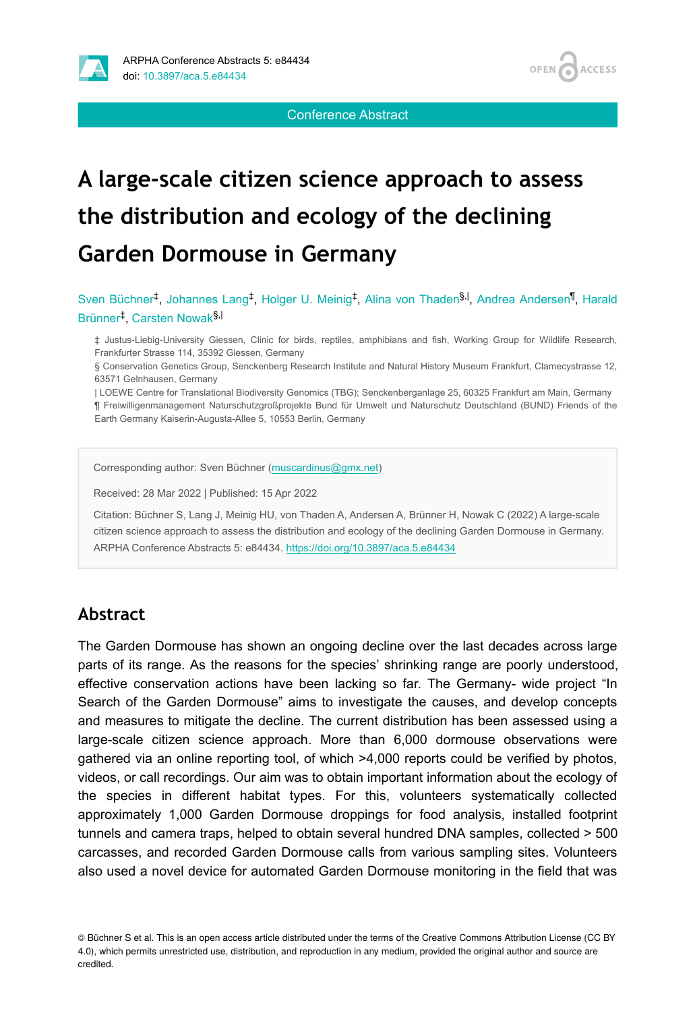



Conference Abstract

# **A large-scale citizen science approach to assess the distribution and ecology of the declining Garden Dormouse in Germany**

Sven Büchner<sup>t</sup>, Johannes Lang<sup>‡</sup>, Holger U. Meinig<sup>‡</sup>, Alina von Thaden<sup>§, I</sup>, Andrea Andersen<sup>¶</sup>, Harald Brünner<sup>‡</sup>, Carsten Nowak<sup>§,|</sup>

‡ Justus-Liebig-University Giessen, Clinic for birds, reptiles, amphibians and fish, Working Group for Wildlife Research, Frankfurter Strasse 114, 35392 Giessen, Germany

§ Conservation Genetics Group, Senckenberg Research Institute and Natural History Museum Frankfurt, Clamecystrasse 12, 63571 Gelnhausen, Germany

| LOEWE Centre for Translational Biodiversity Genomics (TBG); Senckenberganlage 25, 60325 Frankfurt am Main, Germany

¶ Freiwilligenmanagement Naturschutzgroßprojekte Bund für Umwelt und Naturschutz Deutschland (BUND) Friends of the Earth Germany Kaiserin-Augusta-Allee 5, 10553 Berlin, Germany

Corresponding author: Sven Büchner ([muscardinus@gmx.net](mailto:muscardinus@gmx.net))

Received: 28 Mar 2022 | Published: 15 Apr 2022

Citation: Büchner S, Lang J, Meinig HU, von Thaden A, Andersen A, Brünner H, Nowak C (2022) A large-scale citizen science approach to assess the distribution and ecology of the declining Garden Dormouse in Germany. ARPHA Conference Abstracts 5: e84434. <https://doi.org/10.3897/aca.5.e84434>

#### **Abstract**

The Garden Dormouse has shown an ongoing decline over the last decades across large parts of its range. As the reasons for the species' shrinking range are poorly understood, effective conservation actions have been lacking so far. The Germany- wide project "In Search of the Garden Dormouse" aims to investigate the causes, and develop concepts and measures to mitigate the decline. The current distribution has been assessed using a large-scale citizen science approach. More than 6,000 dormouse observations were gathered via an online reporting tool, of which >4,000 reports could be verified by photos, videos, or call recordings. Our aim was to obtain important information about the ecology of the species in different habitat types. For this, volunteers systematically collected approximately 1,000 Garden Dormouse droppings for food analysis, installed footprint tunnels and camera traps, helped to obtain several hundred DNA samples, collected > 500 carcasses, and recorded Garden Dormouse calls from various sampling sites. Volunteers also used a novel device for automated Garden Dormouse monitoring in the field that was

<sup>©</sup> Büchner S et al. This is an open access article distributed under the terms of the Creative Commons Attribution License (CC BY 4.0), which permits unrestricted use, distribution, and reproduction in any medium, provided the original author and source are credited.